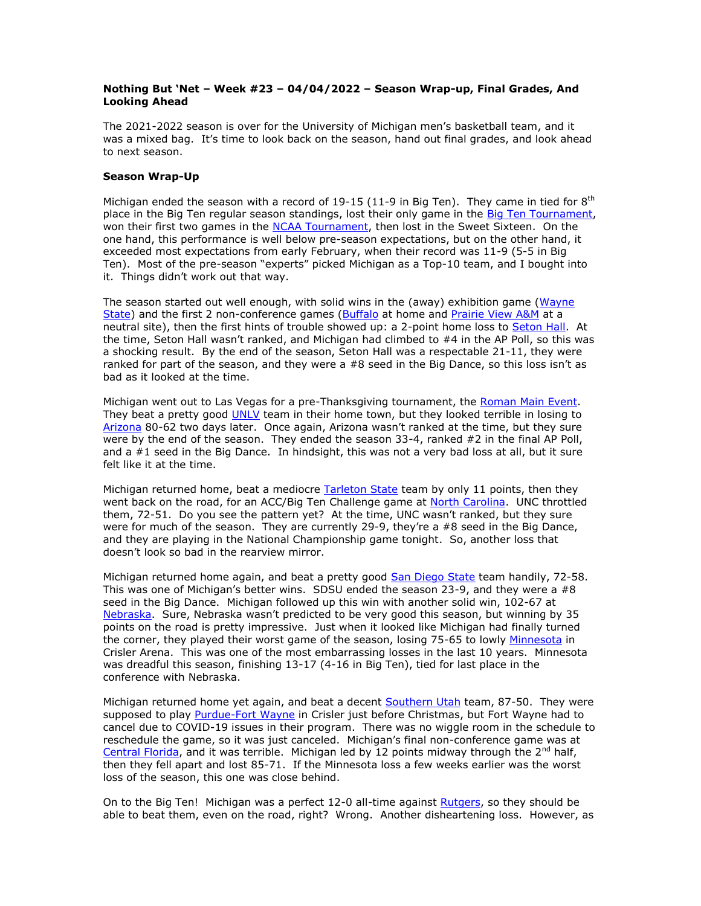## **Nothing But 'Net – Week #23 – 04/04/2022 – Season Wrap-up, Final Grades, And Looking Ahead**

The 2021-2022 season is over for the University of Michigan men's basketball team, and it was a mixed bag. It's time to look back on the season, hand out final grades, and look ahead to next season.

## **Season Wrap-Up**

Michigan ended the season with a record of 19-15 (11-9 in Big Ten). They came in tied for  $8^{th}$ place in the Big Ten regular season standings, lost their only game in the [Big Ten Tournament,](https://bigten.org/sports/2021/9/10/2022MBBT.aspx) won their first two games in the [NCAA Tournament,](https://www.ncaa.com/news/basketball-men/article/2022-march-madness-schedule) then lost in the Sweet Sixteen. On the one hand, this performance is well below pre-season expectations, but on the other hand, it exceeded most expectations from early February, when their record was 11-9 (5-5 in Big Ten). Most of the pre-season "experts" picked Michigan as a Top-10 team, and I bought into it. Things didn't work out that way.

The season started out well enough, with solid wins in the (away) exhibition game [\(Wayne](https://mgoblue.com/news/2021/11/5/mens-basketball-michigan-rolls-to-exhibition-victory-over-wayne-state.aspx)  [State\)](https://mgoblue.com/news/2021/11/5/mens-basketball-michigan-rolls-to-exhibition-victory-over-wayne-state.aspx) and the first 2 non-conference games [\(Buffalo](https://mgoblue.com/news/2021/11/10/mens-basketball-michigan-opens-season-with-victory-over-buffalo-behind-dickinsons-27-points.aspx) at home and [Prairie View A&M](https://mgoblue.com/news/2021/11/13/mens-basketball-michigan-runs-to-victory-over-prairie-view-a-amp-m-in-coaches-vs-racism-game.aspx) at a neutral site), then the first hints of trouble showed up: a 2-point home loss to [Seton Hall.](https://mgoblue.com/news/2021/11/16/mens-basketball-u-m-suffers-first-loss-of-season-to-seton-hall-in-gavitt-tipoff-game.aspx) At the time, Seton Hall wasn't ranked, and Michigan had climbed to #4 in the AP Poll, so this was a shocking result. By the end of the season, Seton Hall was a respectable 21-11, they were ranked for part of the season, and they were a #8 seed in the Big Dance, so this loss isn't as bad as it looked at the time.

Michigan went out to Las Vegas for a pre-Thanksgiving tournament, the [Roman Main Event.](http://romanmainevent.com/) They beat a pretty good [UNLV](https://mgoblue.com/news/2021/11/20/mens-basketball-wolverines-rebound-with-victory-over-unlv-in-roman-main-event-opener.aspx) team in their home town, but they looked terrible in losing to [Arizona](https://mgoblue.com/news/2021/11/21/mens-basketball-michigan-falls-to-arizona-in-roman-main-event-championship.aspx) 80-62 two days later. Once again, Arizona wasn't ranked at the time, but they sure were by the end of the season. They ended the season 33-4, ranked #2 in the final AP Poll, and a #1 seed in the Big Dance. In hindsight, this was not a very bad loss at all, but it sure felt like it at the time.

Michigan returned home, beat a mediocre [Tarleton State](https://mgoblue.com/news/2021/11/24/mens-basketball-freshmen-help-pace-michigan-to-victory-over-tarleton-state.aspx) team by only 11 points, then they went back on the road, for an ACC/Big Ten Challenge game at [North Carolina.](https://mgoblue.com/news/2021/12/1/mens-basketball-michigan-stumbles-at-north-carolina-in-big-ten-acc-challenge.aspx) UNC throttled them, 72-51. Do you see the pattern yet? At the time, UNC wasn't ranked, but they sure were for much of the season. They are currently 29-9, they're a #8 seed in the Big Dance, and they are playing in the National Championship game tonight. So, another loss that doesn't look so bad in the rearview mirror.

Michigan returned home again, and beat a pretty good [San Diego State](https://mgoblue.com/news/2021/12/4/mens-basketball-michigan-bounces-back-with-a-dominant-win-over-san-diego-state.aspx) team handily, 72-58. This was one of Michigan's better wins. SDSU ended the season 23-9, and they were a  $#8$ seed in the Big Dance. Michigan followed up this win with another solid win, 102-67 at [Nebraska.](https://mgoblue.com/news/2021/12/7/mens-basketball-three-point-barrage-helps-michigan-cruise-to-big-ten-opening-win-at-nebraska.aspx) Sure, Nebraska wasn't predicted to be very good this season, but winning by 35 points on the road is pretty impressive. Just when it looked like Michigan had finally turned the corner, they played their worst game of the season, losing 75-65 to lowly [Minnesota](https://mgoblue.com/news/2021/12/11/mens-basketball-michigan-suffers-setback-vs-minnesota-after-cold-shooting-second-half.aspx) in Crisler Arena. This was one of the most embarrassing losses in the last 10 years. Minnesota was dreadful this season, finishing 13-17 (4-16 in Big Ten), tied for last place in the conference with Nebraska.

Michigan returned home yet again, and beat a decent [Southern Utah](https://mgoblue.com/news/2021/12/18/mens-basketball-first-half-runs-pace-michigan-in-win-over-southern-utah.aspx) team, 87-50. They were supposed to play [Purdue-Fort Wayne](https://mgoblue.com/news/2021/12/21/mens-basketball-game-on-dec-21-with-purdue-fort-wayne-canceled.aspx) in Crisler just before Christmas, but Fort Wayne had to cancel due to COVID-19 issues in their program. There was no wiggle room in the schedule to reschedule the game, so it was just canceled. Michigan's final non-conference game was at [Central Florida,](https://mgoblue.com/news/2021/12/30/mens-basketball-michigan-drops-non-conference-finale-at-central-florida.aspx) and it was terrible. Michigan led by 12 points midway through the  $2^{nd}$  half, then they fell apart and lost 85-71. If the Minnesota loss a few weeks earlier was the worst loss of the season, this one was close behind.

On to the Big Ten! Michigan was a perfect 12-0 all-time against [Rutgers,](https://mgoblue.com/news/2022/1/4/mens-basketball-four-wolverines-score-in-double-figures-but-michigan-falls-short-at-rutgers.aspx) so they should be able to beat them, even on the road, right? Wrong. Another disheartening loss. However, as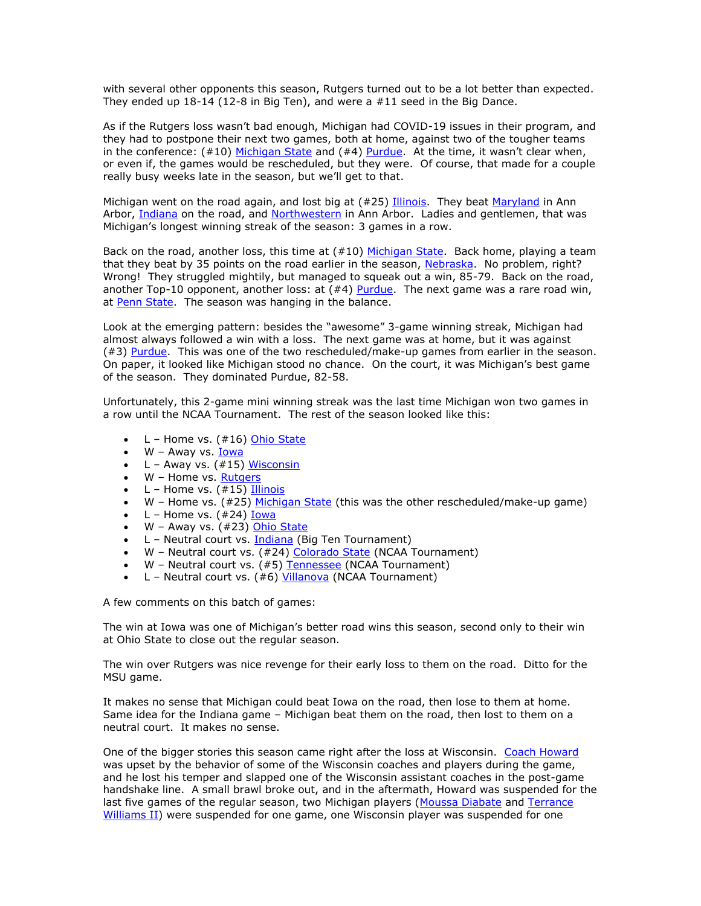with several other opponents this season, Rutgers turned out to be a lot better than expected. They ended up 18-14 (12-8 in Big Ten), and were a #11 seed in the Big Dance.

As if the Rutgers loss wasn't bad enough, Michigan had COVID-19 issues in their program, and they had to postpone their next two games, both at home, against two of the tougher teams in the conference:  $(#10)$  [Michigan State](https://mgoblue.com/news/2022/1/8/mens-basketball-wolverines-game-with-michigan-state-postponed.aspx) and  $(*4)$  [Purdue](https://mgoblue.com/news/2022/1/9/mens-basketball-wolverines-jan-11-game-vs-purdue-postponed.aspx). At the time, it wasn't clear when, or even if, the games would be rescheduled, but they were. Of course, that made for a couple really busy weeks late in the season, but we'll get to that.

Michigan went on the road again, and lost big at (#25) [Illinois.](https://mgoblue.com/news/2022/1/14/mens-basketball-undermanned-wolverines-fall-at-no-25-illinois.aspx) They beat [Maryland](https://mgoblue.com/news/2022/1/18/mens-basketball-dickinsons-big-night-helps-michigan-cruise-to-victory-over-maryland.aspx) in Ann Arbor, [Indiana](https://mgoblue.com/news/2022/1/23/mens-basketball-sharp-shooting-leads-michigan-to-win-at-indiana.aspx) on the road, and [Northwestern](https://mgoblue.com/news/2022/1/26/mens-basketball-late-rally-paces-michigan-past-northwestern-for-third-straight-win.aspx) in Ann Arbor. Ladies and gentlemen, that was Michigan's longest winning streak of the season: 3 games in a row.

Back on the road, another loss, this time at (#10) [Michigan State.](https://mgoblue.com/news/2022/1/29/mens-basketball-dickinsons-25-points-not-enough-as-wolverines-fall-at-michigan-state.aspx) Back home, playing a team that they beat by 35 points on the road earlier in the season, [Nebraska.](https://mgoblue.com/news/2022/2/1/mens-basketball-dickinsons-second-half-surge-rallies-michigan-to-win-over-nebraska.aspx) No problem, right? Wrong! They struggled mightily, but managed to squeak out a win, 85-79. Back on the road, another Top-10 opponent, another loss: at  $(*4)$  [Purdue.](https://mgoblue.com/news/2022/2/5/mens-basketball-dickinsons-28-points-valiant-u-m-effort-not-enough-to-take-down-no-4-purdue.aspx) The next game was a rare road win, at [Penn State.](https://mgoblue.com/news/2022/2/8/mens-basketball-dickinson-brooks-guide-u-m-comeback-victory-at-penn-state.aspx) The season was hanging in the balance.

Look at the emerging pattern: besides the "awesome" 3-game winning streak, Michigan had almost always followed a win with a loss. The next game was at home, but it was against (#3) [Purdue.](https://mgoblue.com/news/2022/2/10/mens-basketball-dickinson-leads-way-as-michigan-upsets-no-3-purdue-at-crisler.aspx) This was one of the two rescheduled/make-up games from earlier in the season. On paper, it looked like Michigan stood no chance. On the court, it was Michigan's best game of the season. They dominated Purdue, 82-58.

Unfortunately, this 2-game mini winning streak was the last time Michigan won two games in a row until the NCAA Tournament. The rest of the season looked like this:

- $\bullet$  L Home vs.  $(\#16)$  [Ohio State](https://mgoblue.com/news/2022/2/12/mens-basketball-michigan-falls-to-no-16-ohio-state-in-saturday-showdown-at-crisler.aspx)
- W Away vs. **Iowa**
- L Away vs. (#15) [Wisconsin](https://mgoblue.com/news/2022/2/20/mens-basketball-cold-shooting-second-half-does-in-wolverines-at-no-15-wisconsin.aspx)
- W Home vs. [Rutgers](https://mgoblue.com/news/2022/2/23/mens-basketball-michigan-begins-homestand-with-victory-over-rutgers.aspx)
- L Home vs. (#15) [Illinois](https://mgoblue.com/news/2022/2/27/mens-basketball-double-doubles-from-dickinson-jones-not-enough-in-loss-to-illinois.aspx)
- W Home vs. (#25) [Michigan State](https://mgoblue.com/news/2022/3/1/mens-basketball-michigan-rolls-past-michigan-state-behind-dickinsons-career-best-33-points.aspx) (this was the other rescheduled/make-up game)
- L Home vs. (#24) <u>Iowa</u>
- W Away vs. (#23) [Ohio State](https://mgoblue.com/news/2022/3/6/mens-basketball-wolverines-rally-for-road-win-at-no-23-ohio-state-in-regular-season-finale.aspx)
- L Neutral court vs. [Indiana](https://mgoblue.com/news/2022/3/10/mens-basketball-wolverines-fall-to-hoosiers-in-big-ten-tournament-second-round.aspx) (Big Ten Tournament)
- W Neutral court vs. (#24) [Colorado State](https://mgoblue.com/news/2022/3/17/mens-basketball-second-half-rally-delivers-first-round-upset-win-for-michigan-over-colorado-state.aspx) (NCAA Tournament)
- W Neutral court vs. (#5) [Tennessee](https://mgoblue.com/news/2022/3/19/mens-basketball-michigan-overpowers-tennessee-in-second-half-for-ncaa-second-round-upset.aspx) (NCAA Tournament)
- L Neutral court vs. (#6) [Villanova](https://mgoblue.com/news/2022/3/24/mens-basketball-michigan-denied-return-trip-to-ncaa-elite-eight-by-no-2-seeded-villanova.aspx) (NCAA Tournament)

A few comments on this batch of games:

The win at Iowa was one of Michigan's better road wins this season, second only to their win at Ohio State to close out the regular season.

The win over Rutgers was nice revenge for their early loss to them on the road. Ditto for the MSU game.

It makes no sense that Michigan could beat Iowa on the road, then lose to them at home. Same idea for the Indiana game – Michigan beat them on the road, then lost to them on a neutral court. It makes no sense.

One of the bigger stories this season came right after the loss at Wisconsin. [Coach Howard](https://mgoblue.com/staff-directory/juwan-howard/3769) was upset by the behavior of some of the Wisconsin coaches and players during the game, and he lost his temper and slapped one of the Wisconsin assistant coaches in the post-game handshake line. A small brawl broke out, and in the aftermath, Howard was suspended for the last five games of the regular season, two Michigan players [\(Moussa Diabate](https://mgoblue.com/sports/mens-basketball/roster/moussa-diabate/21865) and Terrance [Williams II\)](https://mgoblue.com/sports/mens-basketball/roster/terrance-williams-ii/21124) were suspended for one game, one Wisconsin player was suspended for one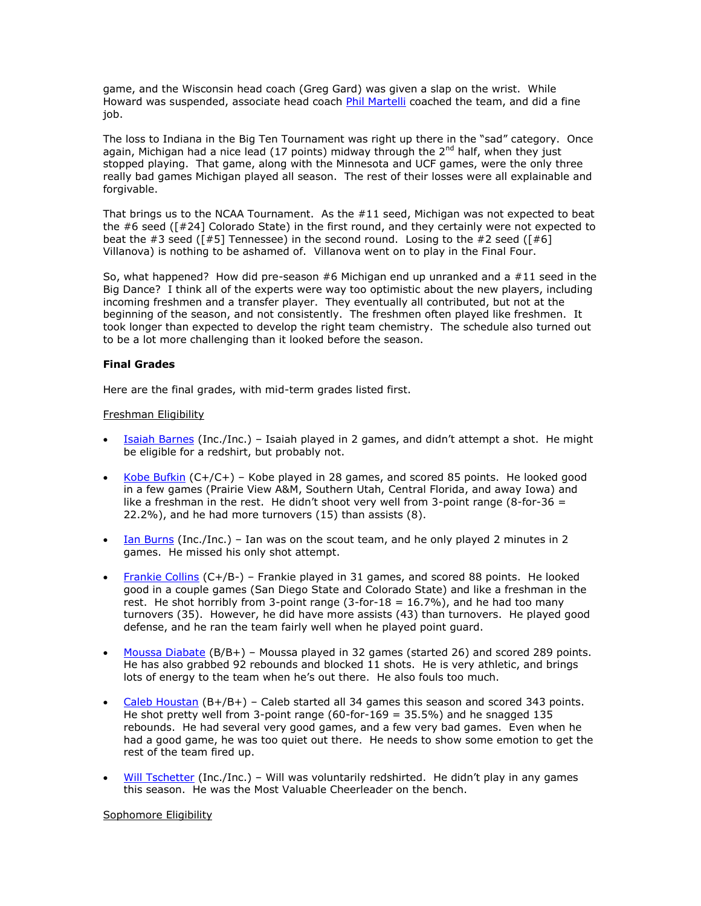game, and the Wisconsin head coach (Greg Gard) was given a slap on the wrist. While Howard was suspended, associate head coach [Phil Martelli](https://mgoblue.com/staff-directory/phil-martelli/3772) coached the team, and did a fine job.

The loss to Indiana in the Big Ten Tournament was right up there in the "sad" category. Once again, Michigan had a nice lead (17 points) midway through the  $2<sup>nd</sup>$  half, when they just stopped playing. That game, along with the Minnesota and UCF games, were the only three really bad games Michigan played all season. The rest of their losses were all explainable and forgivable.

That brings us to the NCAA Tournament. As the  $#11$  seed, Michigan was not expected to beat the #6 seed ([#24] Colorado State) in the first round, and they certainly were not expected to beat the #3 seed ( $[#5]$  Tennessee) in the second round. Losing to the #2 seed ( $[#6]$ Villanova) is nothing to be ashamed of. Villanova went on to play in the Final Four.

So, what happened? How did pre-season  $#6$  Michigan end up unranked and a  $#11$  seed in the Big Dance? I think all of the experts were way too optimistic about the new players, including incoming freshmen and a transfer player. They eventually all contributed, but not at the beginning of the season, and not consistently. The freshmen often played like freshmen. It took longer than expected to develop the right team chemistry. The schedule also turned out to be a lot more challenging than it looked before the season.

## **Final Grades**

Here are the final grades, with mid-term grades listed first.

## Freshman Eligibility

- **[Isaiah Barnes](https://mgoblue.com/sports/mens-basketball/roster/isaiah-barnes/21862) (Inc./Inc.)** Isaiah played in 2 games, and didn't attempt a shot. He might be eligible for a redshirt, but probably not.
- [Kobe Bufkin](https://mgoblue.com/sports/mens-basketball/roster/kobe-bufkin/21863)  $(C+/C+)$  Kobe played in 28 games, and scored 85 points. He looked good in a few games (Prairie View A&M, Southern Utah, Central Florida, and away Iowa) and like a freshman in the rest. He didn't shoot very well from 3-point range (8-for-36  $=$ 22.2%), and he had more turnovers (15) than assists (8).
- $\bullet$  [Ian Burns](https://mgoblue.com/sports/mens-basketball/roster/ian-burns/22253) (Inc./Inc.) Ian was on the scout team, and he only played 2 minutes in 2 games. He missed his only shot attempt.
- [Frankie Collins](https://mgoblue.com/sports/mens-basketball/roster/frankie-collins/21864) (C+/B-) Frankie played in 31 games, and scored 88 points. He looked good in a couple games (San Diego State and Colorado State) and like a freshman in the rest. He shot horribly from 3-point range  $(3$ -for-18 = 16.7%), and he had too many turnovers (35). However, he did have more assists (43) than turnovers. He played good defense, and he ran the team fairly well when he played point guard.
- [Moussa Diabate](https://mgoblue.com/sports/mens-basketball/roster/moussa-diabate/21865) (B/B+) Moussa played in 32 games (started 26) and scored 289 points. He has also grabbed 92 rebounds and blocked 11 shots. He is very athletic, and brings lots of energy to the team when he's out there. He also fouls too much.
- [Caleb Houstan](https://mgoblue.com/sports/mens-basketball/roster/caleb-houstan/21866)  $(B+/B+)$  Caleb started all 34 games this season and scored 343 points. He shot pretty well from 3-point range (60-for-169 = 35.5%) and he snagged 135 rebounds. He had several very good games, and a few very bad games. Even when he had a good game, he was too quiet out there. He needs to show some emotion to get the rest of the team fired up.
- [Will Tschetter](https://mgoblue.com/sports/mens-basketball/roster/will-tschetter/21867) (Inc./Inc.) Will was voluntarily redshirted. He didn't play in any games this season. He was the Most Valuable Cheerleader on the bench.

### Sophomore Eligibility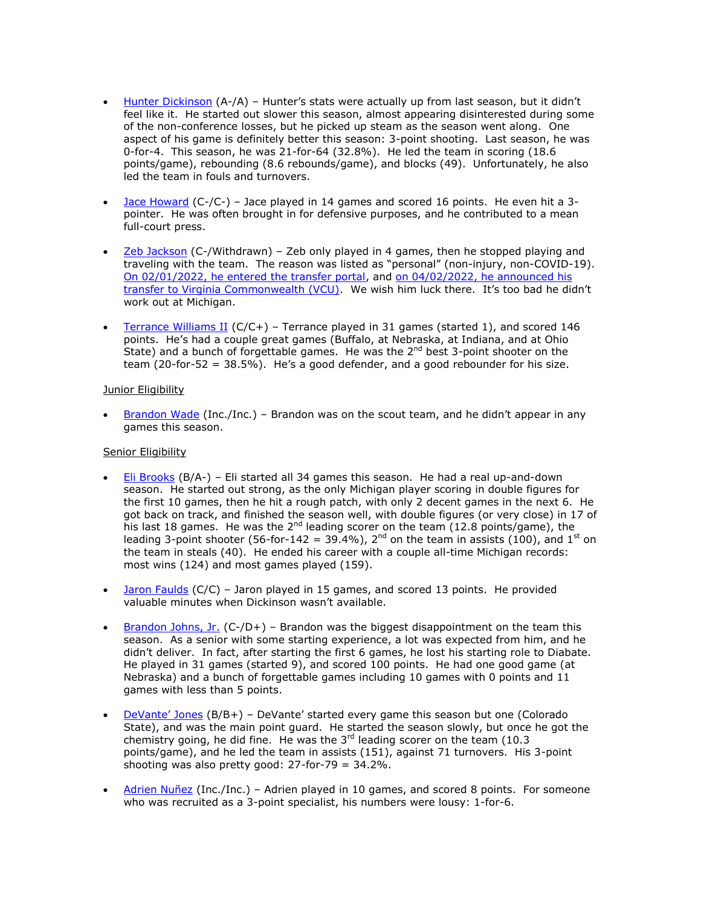- [Hunter Dickinson](https://mgoblue.com/sports/mens-basketball/roster/hunter-dickinson/21122) (A-/A) Hunter's stats were actually up from last season, but it didn't feel like it. He started out slower this season, almost appearing disinterested during some of the non-conference losses, but he picked up steam as the season went along. One aspect of his game is definitely better this season: 3-point shooting. Last season, he was 0-for-4. This season, he was 21-for-64 (32.8%). He led the team in scoring (18.6 points/game), rebounding (8.6 rebounds/game), and blocks (49). Unfortunately, he also led the team in fouls and turnovers.
- [Jace Howard](https://mgoblue.com/sports/mens-basketball/roster/jace-howard/21125) (C-/C-) Jace played in 14 games and scored 16 points. He even hit a 3 pointer. He was often brought in for defensive purposes, and he contributed to a mean full-court press.
- [Zeb Jackson](https://mgoblue.com/sports/mens-basketball/roster/zeb-jackson/21123) (C-/Withdrawn) Zeb only played in 4 games, then he stopped playing and traveling with the team. The reason was listed as "personal" (non-injury, non-COVID-19). [On 02/01/2022, he entered the transfer portal,](https://www.mlive.com/wolverines/2022/02/michigan-basketball-guard-zeb-jackson-former-top-100-recruit-enters-transfer-portal.html) and [on 04/02/2022, he announced his](https://richmond.com/sports/college/vcu-secures-michigan-transfer-guard-zeb-jackson/article_a795ff25-606a-5342-baa6-f661af12040a.html)  [transfer to Virginia Commonwealth \(VCU\).](https://richmond.com/sports/college/vcu-secures-michigan-transfer-guard-zeb-jackson/article_a795ff25-606a-5342-baa6-f661af12040a.html) We wish him luck there. It's too bad he didn't work out at Michigan.
- [Terrance Williams II](https://mgoblue.com/sports/mens-basketball/roster/terrance-williams-ii/21124) ( $C/C+$ ) Terrance played in 31 games (started 1), and scored 146 points. He's had a couple great games (Buffalo, at Nebraska, at Indiana, and at Ohio State) and a bunch of forgettable games. He was the  $2<sup>nd</sup>$  best 3-point shooter on the team (20-for-52 = 38.5%). He's a good defender, and a good rebounder for his size.

## Junior Eligibility

 [Brandon Wade](https://mgoblue.com/sports/mens-basketball/roster/brandon-wade/22258) (Inc./Inc.) – Brandon was on the scout team, and he didn't appear in any games this season.

## Senior Eligibility

- [Eli Brooks](https://mgoblue.com/roster.aspx?rp_id=18372) (B/A-) Eli started all 34 games this season. He had a real up-and-down season. He started out strong, as the only Michigan player scoring in double figures for the first 10 games, then he hit a rough patch, with only 2 decent games in the next 6. He got back on track, and finished the season well, with double figures (or very close) in 17 of his last 18 games. He was the  $2^{nd}$  leading scorer on the team (12.8 points/game), the leading 3-point shooter (56-for-142 = 39.4%),  $2^{nd}$  on the team in assists (100), and 1<sup>st</sup> on the team in steals (40). He ended his career with a couple all-time Michigan records: most wins (124) and most games played (159).
- $\bullet$  [Jaron Faulds](https://mgoblue.com/sports/mens-basketball/roster/jaron-faulds/21118) (C/C) Jaron played in 15 games, and scored 13 points. He provided valuable minutes when Dickinson wasn't available.
- **[Brandon Johns, Jr.](https://mgoblue.com/roster.aspx?rp_id=18454)** (C-/D+) Brandon was the biggest disappointment on the team this season. As a senior with some starting experience, a lot was expected from him, and he didn't deliver. In fact, after starting the first 6 games, he lost his starting role to Diabate. He played in 31 games (started 9), and scored 100 points. He had one good game (at Nebraska) and a bunch of forgettable games including 10 games with 0 points and 11 games with less than 5 points.
- [DeVante' Jones](https://mgoblue.com/sports/mens-basketball/roster/devante-jones/22254)  $(B/B+)$  DeVante' started every game this season but one (Colorado State), and was the main point guard. He started the season slowly, but once he got the chemistry going, he did fine. He was the  $3<sup>rd</sup>$  leading scorer on the team (10.3) points/game), and he led the team in assists (151), against 71 turnovers. His 3-point shooting was also pretty good:  $27$ -for-79 =  $34.2\%$ .
- [Adrien Nuñez](https://mgoblue.com/roster.aspx?rp_id=18455) (Inc./Inc.) Adrien played in 10 games, and scored 8 points. For someone who was recruited as a 3-point specialist, his numbers were lousy: 1-for-6.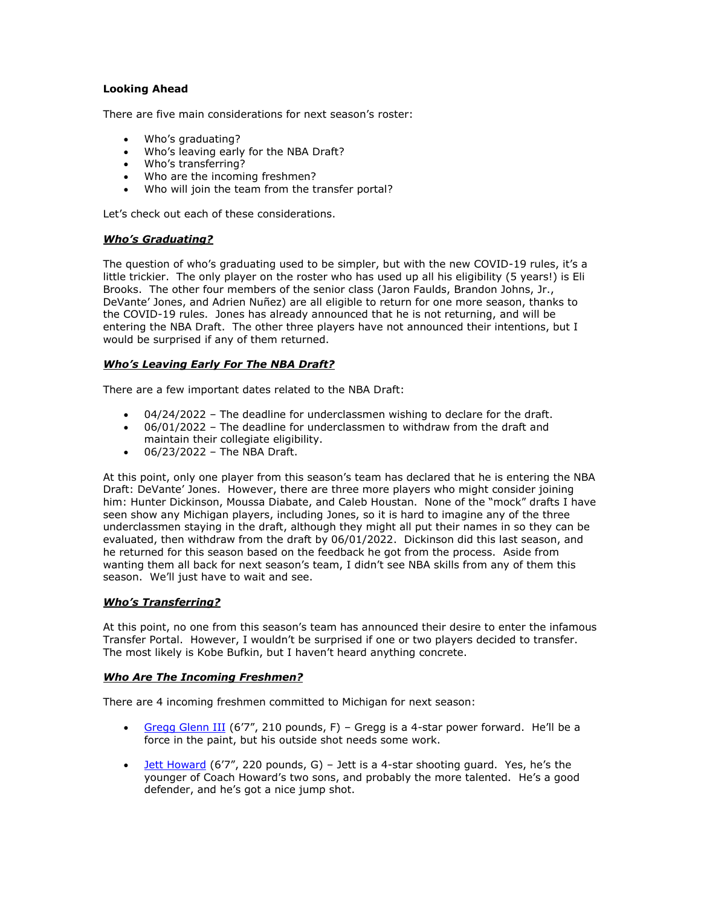# **Looking Ahead**

There are five main considerations for next season's roster:

- Who's graduating?
- Who's leaving early for the NBA Draft?
- Who's transferring?
- Who are the incoming freshmen?
- Who will join the team from the transfer portal?

Let's check out each of these considerations.

## *Who's Graduating?*

The question of who's graduating used to be simpler, but with the new COVID-19 rules, it's a little trickier. The only player on the roster who has used up all his eligibility (5 years!) is Eli Brooks. The other four members of the senior class (Jaron Faulds, Brandon Johns, Jr., DeVante' Jones, and Adrien Nuñez) are all eligible to return for one more season, thanks to the COVID-19 rules. Jones has already announced that he is not returning, and will be entering the NBA Draft. The other three players have not announced their intentions, but I would be surprised if any of them returned.

## *Who's Leaving Early For The NBA Draft?*

There are a few important dates related to the NBA Draft:

- 04/24/2022 The deadline for underclassmen wishing to declare for the draft.
- 06/01/2022 The deadline for underclassmen to withdraw from the draft and maintain their collegiate eligibility.
- $-06/23/2022 -$  The NBA Draft.

At this point, only one player from this season's team has declared that he is entering the NBA Draft: DeVante' Jones. However, there are three more players who might consider joining him: Hunter Dickinson, Moussa Diabate, and Caleb Houstan. None of the "mock" drafts I have seen show any Michigan players, including Jones, so it is hard to imagine any of the three underclassmen staying in the draft, although they might all put their names in so they can be evaluated, then withdraw from the draft by 06/01/2022. Dickinson did this last season, and he returned for this season based on the feedback he got from the process. Aside from wanting them all back for next season's team, I didn't see NBA skills from any of them this season. We'll just have to wait and see.

### *Who's Transferring?*

At this point, no one from this season's team has announced their desire to enter the infamous Transfer Portal. However, I wouldn't be surprised if one or two players decided to transfer. The most likely is Kobe Bufkin, but I haven't heard anything concrete.

### *Who Are The Incoming Freshmen?*

There are 4 incoming freshmen committed to Michigan for next season:

- [Gregg Glenn](https://n.rivals.com/content/prospects/2022/gregg-glenn-iii-234075) III (6'7", 210 pounds, F) Gregg is a 4-star power forward. He'll be a force in the paint, but his outside shot needs some work.
- $\bullet$  [Jett Howard](https://n.rivals.com/content/prospects/2022/jett-howard-234064) (6'7", 220 pounds, G) Jett is a 4-star shooting quard. Yes, he's the younger of Coach Howard's two sons, and probably the more talented. He's a good defender, and he's got a nice jump shot.